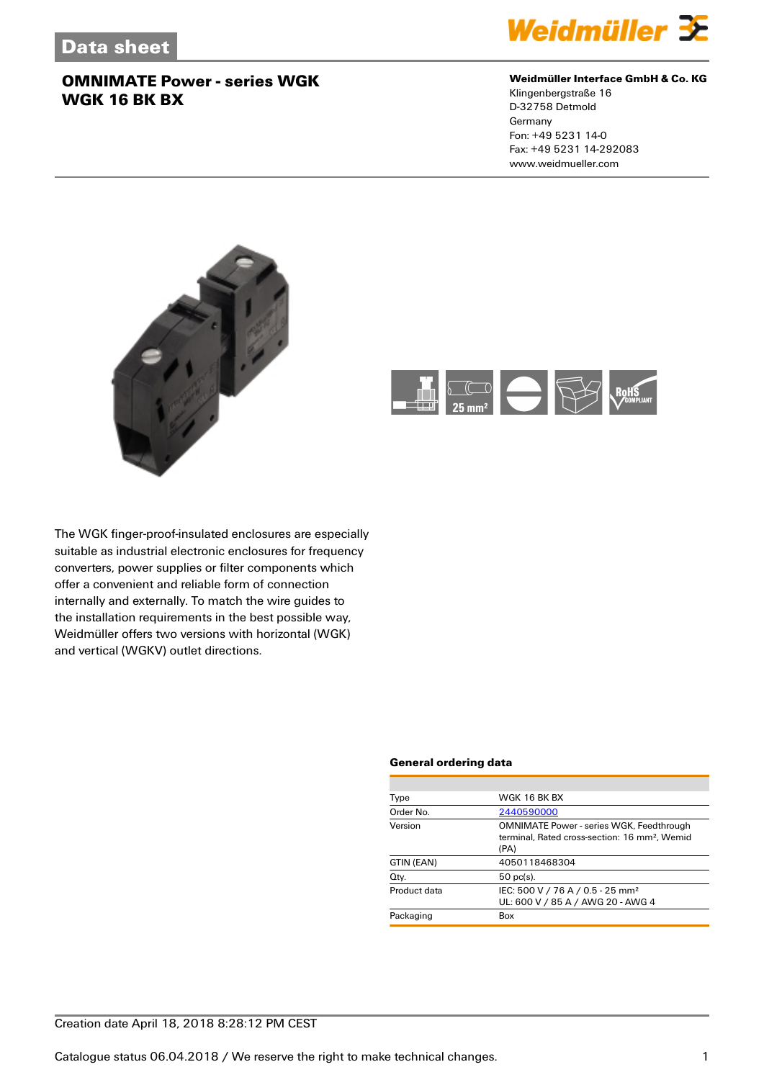

#### **Weidmüller Interface GmbH & Co. KG**

Klingenbergstraße 16 D-32758 Detmold Germany Fon: +49 5231 14-0 Fax: +49 5231 14-292083 www.weidmueller.com





The WGK finger-proof-insulated enclosures are especially suitable as industrial electronic enclosures for frequency converters, power supplies or filter components which offer a convenient and reliable form of connection internally and externally. To match the wire guides to the installation requirements in the best possible way, Weidmüller offers two versions with horizontal (WGK) and vertical (WGKV) outlet directions.

#### **General ordering data**

| Type         | WGK 16 BK BX                                                                                                         |
|--------------|----------------------------------------------------------------------------------------------------------------------|
| Order No.    | 2440590000                                                                                                           |
| Version      | <b>OMNIMATE Power - series WGK, Feedthrough</b><br>terminal, Rated cross-section: 16 mm <sup>2</sup> , Wemid<br>(PA) |
| GTIN (EAN)   | 4050118468304                                                                                                        |
| Qty.         | $50$ pc(s).                                                                                                          |
| Product data | IEC: 500 V / 76 A / 0.5 - 25 mm <sup>2</sup><br>UL: 600 V / 85 A / AWG 20 - AWG 4                                    |
| Packaging    | Box                                                                                                                  |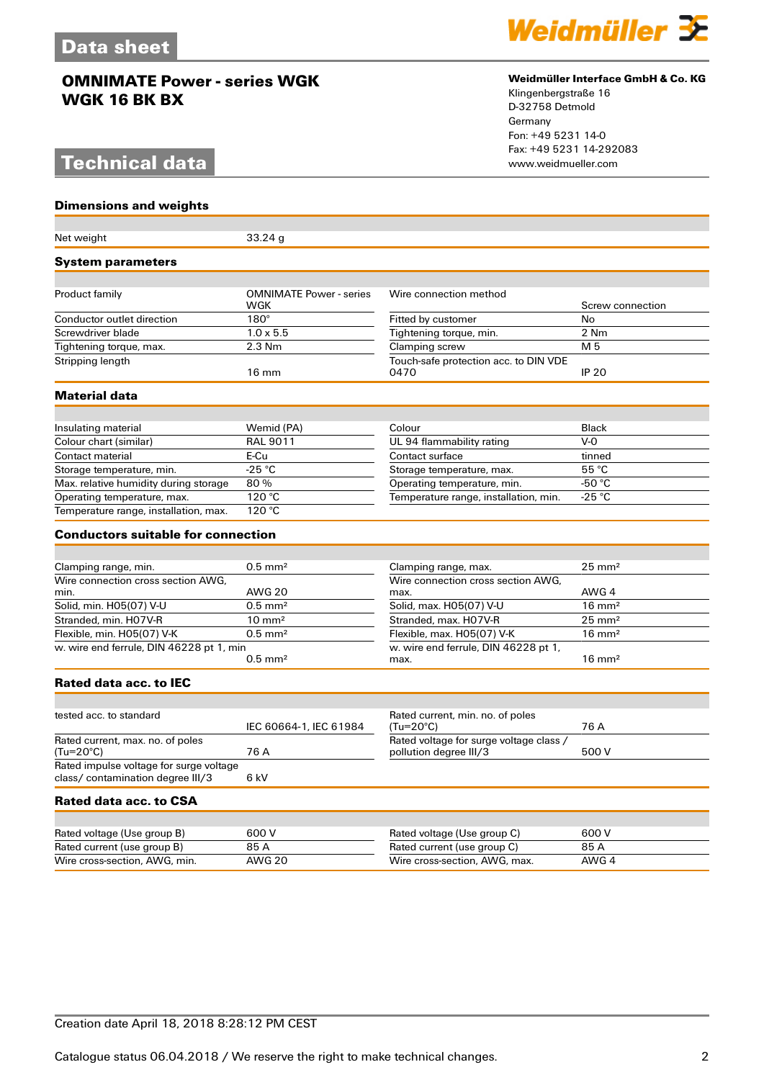# **Technical data**

**Dimensions and weights**



#### **Weidmüller Interface GmbH & Co. KG**

Klingenbergstraße 16 D-32758 Detmold Germany Fon: +49 5231 14-0 Fax: +49 5231 14-292083

| Net weight                                                                   | 33.24g                                |                                                                   |                   |
|------------------------------------------------------------------------------|---------------------------------------|-------------------------------------------------------------------|-------------------|
| <b>System parameters</b>                                                     |                                       |                                                                   |                   |
| Product family                                                               | <b>OMNIMATE Power - series</b><br>WGK | Wire connection method                                            | Screw connection  |
| Conductor outlet direction                                                   | $180^\circ$                           | Fitted by customer                                                | <b>No</b>         |
| Screwdriver blade                                                            | $1.0 \times 5.5$                      | Tightening torque, min.                                           | 2 Nm              |
| Tightening torque, max.                                                      | $2.3$ Nm                              | Clamping screw                                                    | M 5               |
| Stripping length                                                             | $16 \text{ mm}$                       | Touch-safe protection acc. to DIN VDE<br>0470                     | <b>IP 20</b>      |
| Material data                                                                |                                       |                                                                   |                   |
|                                                                              |                                       | Colour                                                            | <b>Black</b>      |
| Insulating material<br>Colour chart (similar)                                | Wemid (PA)<br><b>RAL 9011</b>         | UL 94 flammability rating                                         | $V-0$             |
| Contact material                                                             | E-Cu                                  | Contact surface                                                   | tinned            |
| Storage temperature, min.                                                    | $-25$ °C                              | Storage temperature, max.                                         | 55 °C             |
| Max. relative humidity during storage                                        | 80%                                   | Operating temperature, min.                                       | -50 $\degree$ C   |
| Operating temperature, max.                                                  | 120 °C                                | Temperature range, installation, min.                             | $-25 °C$          |
| Temperature range, installation, max.                                        | 120 °C                                |                                                                   |                   |
| <b>Conductors suitable for connection</b>                                    |                                       |                                                                   |                   |
|                                                                              |                                       |                                                                   |                   |
| Clamping range, min.                                                         | $0.5$ mm <sup>2</sup>                 | Clamping range, max.                                              | $25 \text{ mm}^2$ |
| Wire connection cross section AWG.<br>min.                                   | <b>AWG 20</b>                         | Wire connection cross section AWG.<br>max.                        | AWG 4             |
| Solid, min. H05(07) V-U                                                      | $0.5$ mm <sup>2</sup>                 | Solid, max. H05(07) V-U                                           | $16 \text{ mm}^2$ |
| Stranded, min. H07V-R                                                        | $10 \text{ mm}^2$                     | Stranded, max. H07V-R                                             | $25 \text{ mm}^2$ |
| Flexible, min. H05(07) V-K                                                   | $0.5$ mm <sup>2</sup>                 | Flexible, max. H05(07) V-K                                        | $16 \text{ mm}^2$ |
| w. wire end ferrule, DIN 46228 pt 1, min                                     | $0.5$ mm <sup>2</sup>                 | w. wire end ferrule, DIN 46228 pt 1,<br>max.                      | $16 \text{ mm}^2$ |
| Rated data acc. to IEC                                                       |                                       |                                                                   |                   |
|                                                                              |                                       |                                                                   |                   |
| tested acc. to standard                                                      | IEC 60664-1, IEC 61984                | Rated current, min. no. of poles<br>$(Tu=20^{\circ}C)$            | 76 A              |
| Rated current, max. no. of poles<br>(Tu=20°C)                                | 76 A                                  | Rated voltage for surge voltage class /<br>pollution degree III/3 | 500 V             |
| Rated impulse voltage for surge voltage<br>class/ contamination degree III/3 | 6 kV                                  |                                                                   |                   |
| Rated data acc. to CSA                                                       |                                       |                                                                   |                   |
|                                                                              |                                       |                                                                   |                   |
| Rated voltage (Use group B)                                                  | 600 V                                 | Rated voltage (Use group C)                                       | 600 V             |
| Rated current (use group B)                                                  | 85 A                                  | Rated current (use group C)                                       | 85 A              |
| Wire cross-section, AWG, min.                                                | <b>AWG 20</b>                         | Wire cross-section, AWG, max.                                     | AWG 4             |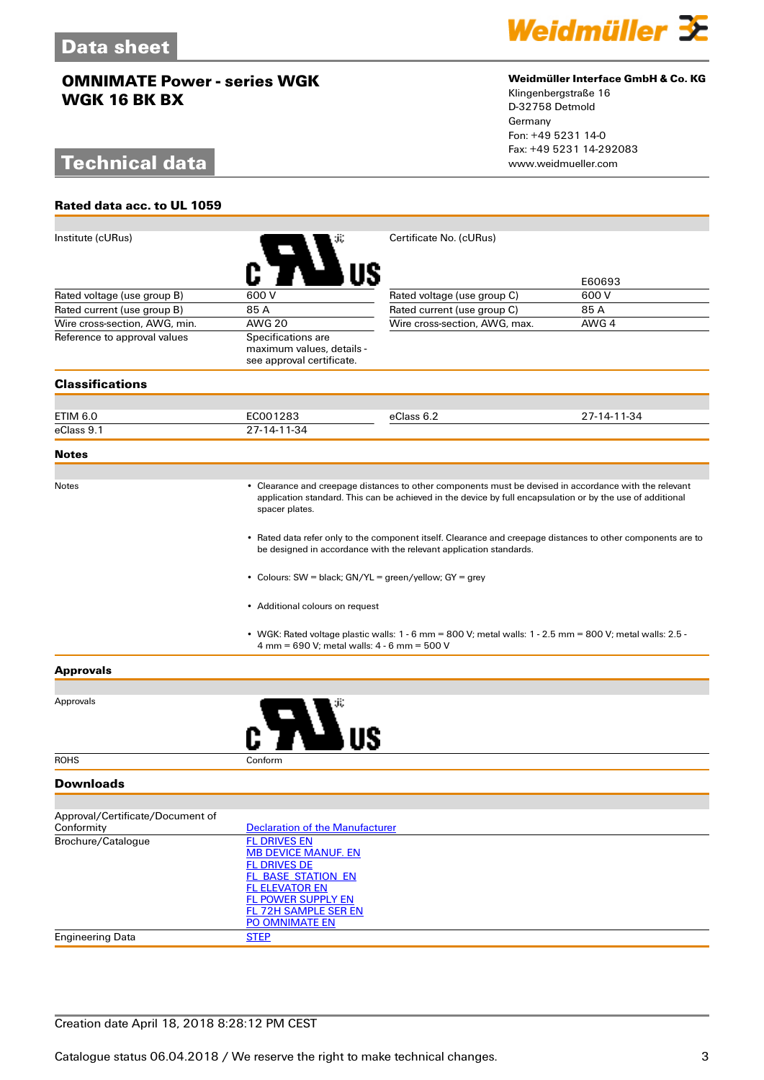# **Technical data**

**Rated data acc. to UL 1059**



#### **Weidmüller Interface GmbH & Co. KG**

Klingenbergstraße 16 D-32758 Detmold Germany Fon: +49 5231 14-0 Fax: +49 5231 14-292083

| Institute (cURus)                                                                                                                                                                  |                                                                                                                                                                                                                                        | Certificate No. (cURus)                                                                                   |             |  |
|------------------------------------------------------------------------------------------------------------------------------------------------------------------------------------|----------------------------------------------------------------------------------------------------------------------------------------------------------------------------------------------------------------------------------------|-----------------------------------------------------------------------------------------------------------|-------------|--|
|                                                                                                                                                                                    |                                                                                                                                                                                                                                        |                                                                                                           |             |  |
|                                                                                                                                                                                    |                                                                                                                                                                                                                                        |                                                                                                           | E60693      |  |
| Rated voltage (use group B)                                                                                                                                                        | 600 V                                                                                                                                                                                                                                  | Rated voltage (use group C)                                                                               | 600 V       |  |
| Rated current (use group B)                                                                                                                                                        | 85 A                                                                                                                                                                                                                                   | Rated current (use group C)                                                                               | 85 A        |  |
| Wire cross-section, AWG, min.                                                                                                                                                      | <b>AWG 20</b>                                                                                                                                                                                                                          | Wire cross-section, AWG, max.                                                                             | AWG 4       |  |
| Reference to approval values                                                                                                                                                       | Specifications are                                                                                                                                                                                                                     |                                                                                                           |             |  |
|                                                                                                                                                                                    | maximum values, details -<br>see approval certificate.                                                                                                                                                                                 |                                                                                                           |             |  |
| <b>Classifications</b>                                                                                                                                                             |                                                                                                                                                                                                                                        |                                                                                                           |             |  |
|                                                                                                                                                                                    |                                                                                                                                                                                                                                        |                                                                                                           |             |  |
| ETIM 6.0                                                                                                                                                                           | EC001283                                                                                                                                                                                                                               | eClass 6.2                                                                                                | 27-14-11-34 |  |
| eClass 9.1                                                                                                                                                                         | 27-14-11-34                                                                                                                                                                                                                            |                                                                                                           |             |  |
| <b>Notes</b>                                                                                                                                                                       |                                                                                                                                                                                                                                        |                                                                                                           |             |  |
|                                                                                                                                                                                    |                                                                                                                                                                                                                                        |                                                                                                           |             |  |
| Notes                                                                                                                                                                              | • Clearance and creepage distances to other components must be devised in accordance with the relevant<br>application standard. This can be achieved in the device by full encapsulation or by the use of additional<br>spacer plates. |                                                                                                           |             |  |
| • Rated data refer only to the component itself. Clearance and creepage distances to other components are to<br>be designed in accordance with the relevant application standards. |                                                                                                                                                                                                                                        |                                                                                                           |             |  |
|                                                                                                                                                                                    |                                                                                                                                                                                                                                        |                                                                                                           |             |  |
|                                                                                                                                                                                    | • Additional colours on request                                                                                                                                                                                                        |                                                                                                           |             |  |
|                                                                                                                                                                                    | 4 mm = 690 V; metal walls: 4 - 6 mm = 500 V                                                                                                                                                                                            | • WGK: Rated voltage plastic walls: 1 - 6 mm = 800 V; metal walls: 1 - 2.5 mm = 800 V; metal walls: 2.5 - |             |  |
| <b>Approvals</b>                                                                                                                                                                   |                                                                                                                                                                                                                                        |                                                                                                           |             |  |
|                                                                                                                                                                                    |                                                                                                                                                                                                                                        |                                                                                                           |             |  |
| Approvals                                                                                                                                                                          |                                                                                                                                                                                                                                        |                                                                                                           |             |  |
| <b>ROHS</b>                                                                                                                                                                        | Conform                                                                                                                                                                                                                                |                                                                                                           |             |  |
| <b>Downloads</b>                                                                                                                                                                   |                                                                                                                                                                                                                                        |                                                                                                           |             |  |
|                                                                                                                                                                                    |                                                                                                                                                                                                                                        |                                                                                                           |             |  |
| Approval/Certificate/Document of<br>Conformity                                                                                                                                     | <b>Declaration of the Manufacturer</b>                                                                                                                                                                                                 |                                                                                                           |             |  |
| Brochure/Catalogue                                                                                                                                                                 | <b>FL DRIVES EN</b>                                                                                                                                                                                                                    |                                                                                                           |             |  |
|                                                                                                                                                                                    | <b>MB DEVICE MANUF. EN</b>                                                                                                                                                                                                             |                                                                                                           |             |  |
|                                                                                                                                                                                    | <b>FL DRIVES DE</b>                                                                                                                                                                                                                    |                                                                                                           |             |  |
|                                                                                                                                                                                    | <b>FL BASE STATION EN</b><br><b>FL ELEVATOR EN</b>                                                                                                                                                                                     |                                                                                                           |             |  |
|                                                                                                                                                                                    | <b>FL POWER SUPPLY EN</b>                                                                                                                                                                                                              |                                                                                                           |             |  |
|                                                                                                                                                                                    | <b>FL 72H SAMPLE SER EN</b>                                                                                                                                                                                                            |                                                                                                           |             |  |
|                                                                                                                                                                                    | PO OMNIMATE EN                                                                                                                                                                                                                         |                                                                                                           |             |  |
| <b>Engineering Data</b>                                                                                                                                                            | <b>STEP</b>                                                                                                                                                                                                                            |                                                                                                           |             |  |
|                                                                                                                                                                                    |                                                                                                                                                                                                                                        |                                                                                                           |             |  |

### Creation date April 18, 2018 8:28:12 PM CEST

Catalogue status 06.04.2018 / We reserve the right to make technical changes. 33